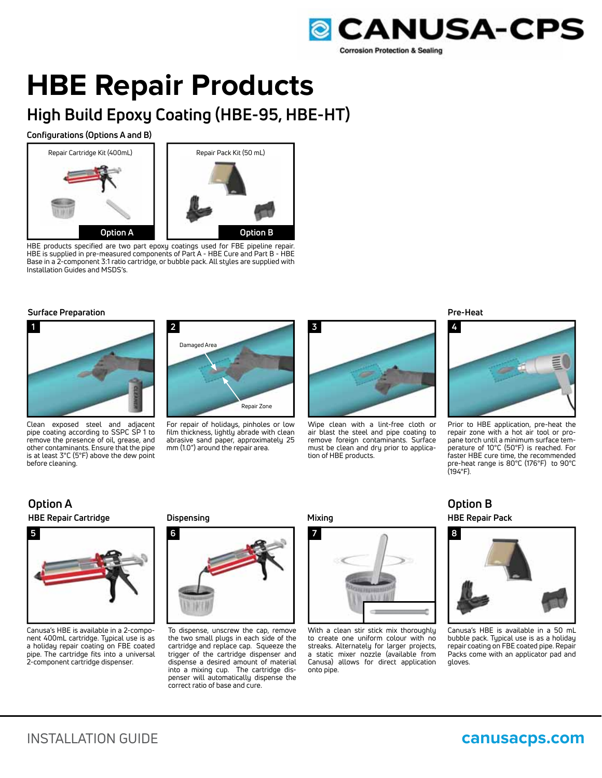

# **HBE Repair Products**

# **High Build Epoxy Coating (HBE-95, HBE-HT)**

# **Configurations (Options A and B)**



HBE products specified are two part epoxy coatings used for FBE pipeline repair. HBE is supplied in pre-measured components of Part A - HBE Cure and Part B - HBE Base in a 2-component 3:1 ratio cartridge, or bubble pack. All styles are supplied with Installation Guides and MSDS's.

#### **Surface Preparation**



Clean exposed steel and adjacent pipe coating according to SSPC SP 1 to remove the presence of oil, grease, and other contaminants. Ensure that the pipe is at least 3°C (5°F) above the dew point before cleaning.



For repair of holidays, pinholes or low film thickness, lightly abrade with clean abrasive sand paper, approximately 25 mm (1.0") around the repair area.



Wipe clean with a lint-free cloth or air blast the steel and pipe coating to remove foreign contaminants. Surface must be clean and dry prior to application of HBE products.

**Pre-Heat**



Prior to HBE application, pre-heat the repair zone with a hot air tool or propane torch until a minimum surface temperature of 10°C (50°F) is reached. For faster HBE cure time, the recommended pre-heat range is 80°C (176°F) to 90°C (194°F).

# **HBE Repair Cartridge Option A**



Canusa's HBE is available in a 2-component 400mL cartridge. Typical use is as a holiday repair coating on FBE coated pipe. The cartridge fits into a universal 2-component cartridge dispenser.

# **Dispensing**



To dispense, unscrew the cap, remove the two small plugs in each side of the cartridge and replace cap. Squeeze the trigger of the cartridge dispenser and dispense a desired amount of material into a mixing cup. The cartridge dispenser will automatically dispense the correct ratio of base and cure.

**Mixing**



With a clean stir stick mix thoroughly to create one uniform colour with no streaks. Alternately for larger projects, a static mixer nozzle (available from Canusa) allows for direct application onto pipe.

**HBE Repair Pack Option B**



Canusa's HBE is available in a 50 mL bubble pack. Typical use is as a holiday repair coating on FBE coated pipe. Repair Packs come with an applicator pad and gloves.